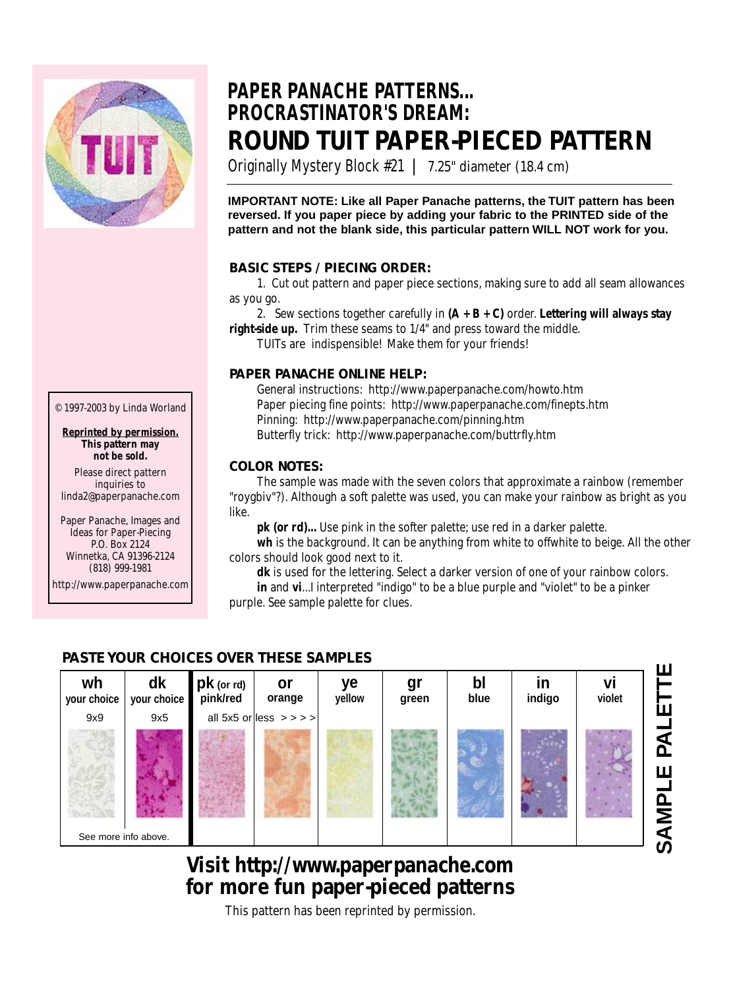

© 1997-2003 by Linda Worland

**Reprinted by permission. This pattern may not be sold.** Please direct pattern inquiries to linda2@paperpanache.com Paper Panache, Images and Ideas for Paper-Piecing P.O. Box 2124 Winnetka, CA 91396-2124 (818) 999-1981 http://www.paperpanache.com

## **PAPER PANACHE PATTERNS... PROCRASTINATOR'S DREAM: ROUND TUIT PAPER-PIECED PATTERN**

Originally Mystery Block #21 **|** 7.25" diameter (18.4 cm)

**IMPORTANT NOTE: Like all Paper Panache patterns, the TUIT pattern has been reversed. If you paper piece by adding your fabric to the PRINTED side of the pattern and not the blank side, this particular pattern WILL NOT work for you.**

### **BASIC STEPS / PIECING ORDER:**

1. Cut out pattern and paper piece sections, making sure to add all seam allowances as you go.

2. Sew sections together carefully in **(A + B + C)** order. **Lettering will always stay right-side up.** Trim these seams to 1/4" and press toward the middle.

TUITs are indispensible! Make them for your friends!

### **PAPER PANACHE ONLINE HELP:**

General instructions: http://www.paperpanache.com/howto.htm Paper piecing fine points: http://www.paperpanache.com/finepts.htm Pinning: http://www.paperpanache.com/pinning.htm Butterfly trick: http://www.paperpanache.com/buttrfly.htm

### **COLOR NOTES:**

The sample was made with the seven colors that approximate a rainbow (remember "roygbiv"?). Although a soft palette was used, you can make your rainbow as bright as you like.

**pk (or rd)...** Use pink in the softer palette; use red in a darker palette.

**wh** is the background. It can be anything from white to offwhite to beige. All the other colors should look good next to it.

**dk** is used for the lettering. Select a darker version of one of your rainbow colors. **in** and **vi**...I interpreted "indigo" to be a blue purple and "violet" to be a pinker purple. See sample palette for clues.

### **PASTE YOUR CHOICES OVER THESE SAMPLES**



### **Visit http://www.paperpanache.com for more fun paper-pieced patterns**

This pattern has been reprinted by permission.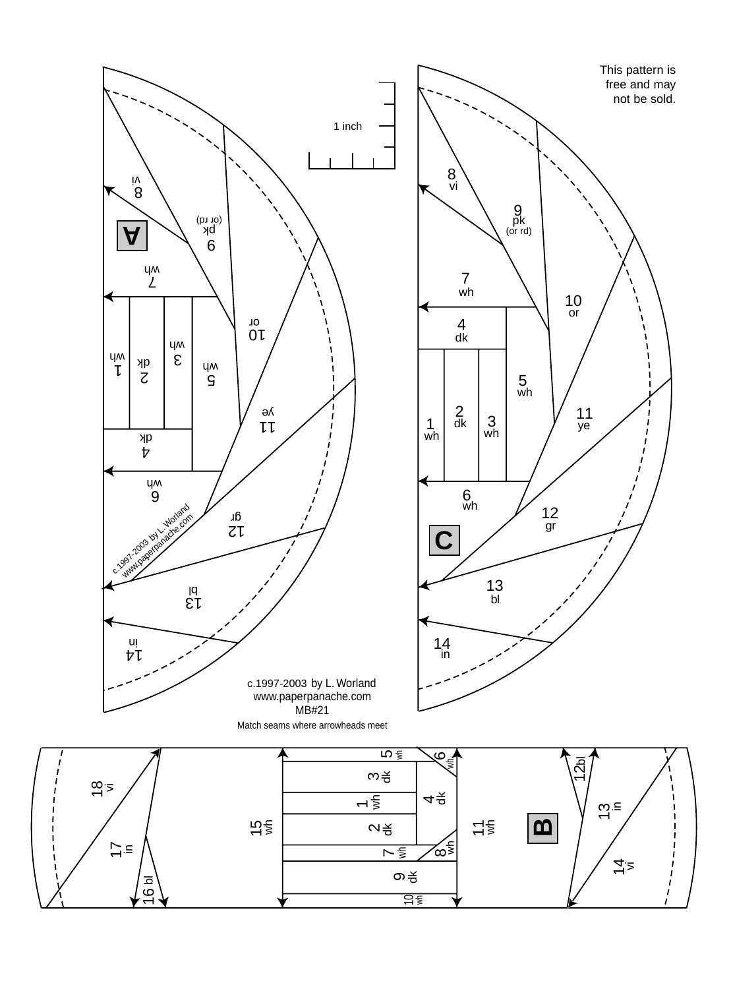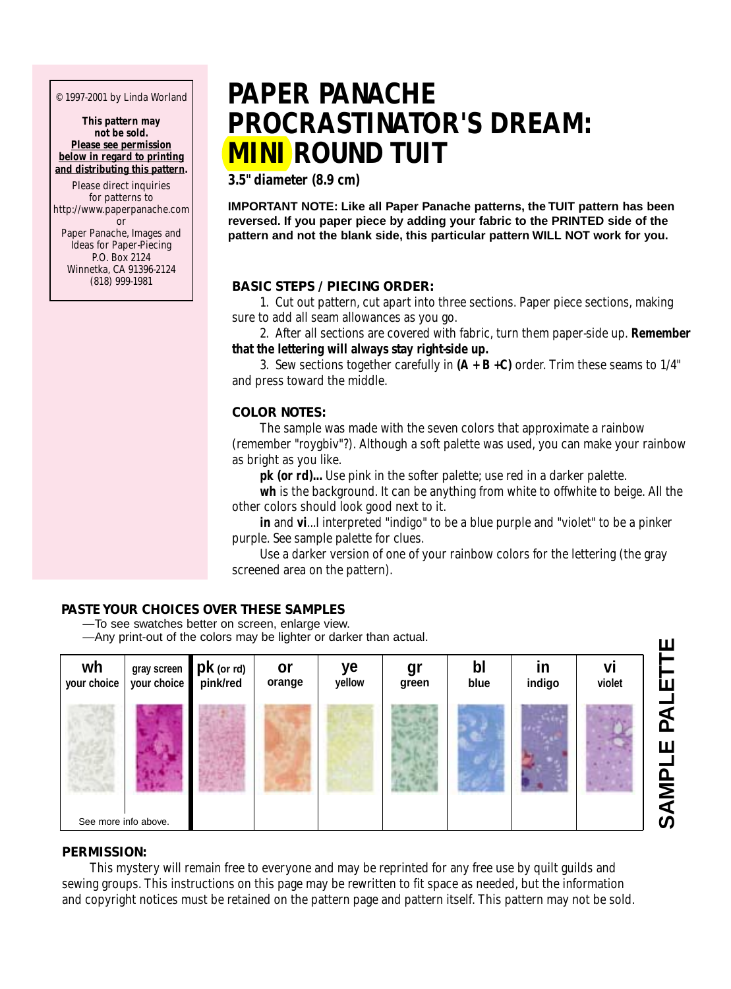© 1997-2001 by Linda Worland

**This pattern may not be sold. Please see permission below in regard to printing and distributing this pattern.**

Please direct inquiries for patterns to http://www.paperpanache.com or Paper Panache, Images and Ideas for Paper-Piecing P.O. Box 2124 Winnetka, CA 91396-2124<br>(818) 999-1981

# **PAPER PANACHE PROCRASTINATOR'S DREAM: MINI ROUND TUIT**

**3.5" diameter (8.9 cm)**

**IMPORTANT NOTE: Like all Paper Panache patterns, the TUIT pattern has been reversed. If you paper piece by adding your fabric to the PRINTED side of the pattern and not the blank side, this particular pattern WILL NOT work for you.**

### (818) 999-1981 **BASIC STEPS / PIECING ORDER:**

1. Cut out pattern, cut apart into three sections. Paper piece sections, making sure to add all seam allowances as you go.

2. After all sections are covered with fabric, turn them paper-side up. **Remember that the lettering will always stay right-side up.**

3. Sew sections together carefully in **(A + B +C)** order. Trim these seams to 1/4" and press toward the middle.

### **COLOR NOTES:**

The sample was made with the seven colors that approximate a rainbow (remember "roygbiv"?). Although a soft palette was used, you can make your rainbow as bright as you like.

**pk (or rd)...** Use pink in the softer palette; use red in a darker palette.

**wh** is the background. It can be anything from white to offwhite to beige. All the other colors should look good next to it.

**in** and **vi**...I interpreted "indigo" to be a blue purple and "violet" to be a pinker purple. See sample palette for clues.

Use a darker version of one of your rainbow colors for the lettering (the gray screened area on the pattern).

### **PASTE YOUR CHOICES OVER THESE SAMPLES**

—To see swatches better on screen, enlarge view. —Any print-out of the colors may be lighter or darker than actual.



### **PERMISSION:**

This mystery will remain free to everyone and may be reprinted for any free use by quilt guilds and sewing groups. This instructions on this page may be rewritten to fit space as needed, but the information and copyright notices must be retained on the pattern page and pattern itself. This pattern may not be sold.